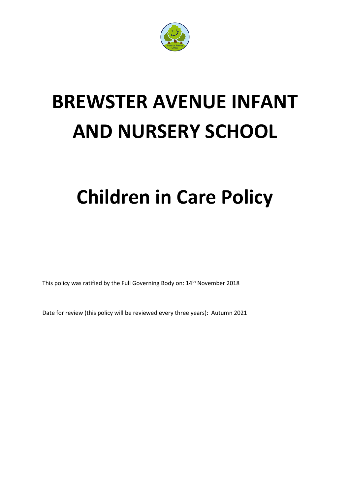

# **BREWSTER AVENUE INFANT AND NURSERY SCHOOL**

## **Children in Care Policy**

This policy was ratified by the Full Governing Body on: 14<sup>th</sup> November 2018

Date for review (this policy will be reviewed every three years): Autumn 2021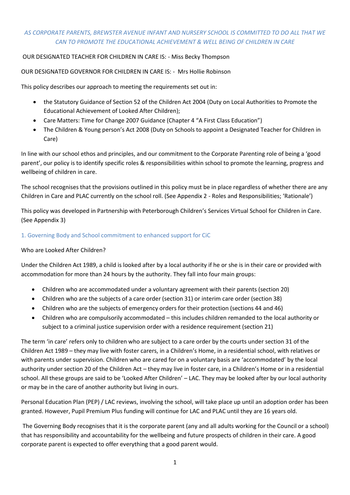## *AS CORPORATE PARENTS, BREWSTER AVENUE INFANT AND NURSERY SCHOOL IS COMMITTED TO DO ALL THAT WE CAN TO PROMOTE THE EDUCATIONAL ACHIEVEMENT & WELL BEING OF CHILDREN IN CARE*

## OUR DESIGNATED TEACHER FOR CHILDREN IN CARE IS: - Miss Becky Thompson

#### OUR DESIGNATED GOVERNOR FOR CHILDREN IN CARE IS: - Mrs Hollie Robinson

This policy describes our approach to meeting the requirements set out in:

- the Statutory Guidance of Section 52 of the Children Act 2004 (Duty on Local Authorities to Promote the Educational Achievement of Looked After Children);
- Care Matters: Time for Change 2007 Guidance (Chapter 4 "A First Class Education")
- The Children & Young person's Act 2008 (Duty on Schools to appoint a Designated Teacher for Children in Care)

In line with our school ethos and principles, and our commitment to the Corporate Parenting role of being a 'good parent', our policy is to identify specific roles & responsibilities within school to promote the learning, progress and wellbeing of children in care.

The school recognises that the provisions outlined in this policy must be in place regardless of whether there are any Children in Care and PLAC currently on the school roll. (See Appendix 2 - Roles and Responsibilities; 'Rationale')

This policy was developed in Partnership with Peterborough Children's Services Virtual School for Children in Care. (See Appendix 3)

#### 1. Governing Body and School commitment to enhanced support for CiC

#### Who are Looked After Children?

Under the Children Act 1989, a child is looked after by a local authority if he or she is in their care or provided with accommodation for more than 24 hours by the authority. They fall into four main groups:

- Children who are accommodated under a voluntary agreement with their parents (section 20)
- Children who are the subjects of a care order (section 31) or interim care order (section 38)
- Children who are the subjects of emergency orders for their protection (sections 44 and 46)
- Children who are compulsorily accommodated this includes children remanded to the local authority or subject to a criminal justice supervision order with a residence requirement (section 21)

The term 'in care' refers only to children who are subject to a care order by the courts under section 31 of the Children Act 1989 – they may live with foster carers, in a Children's Home, in a residential school, with relatives or with parents under supervision. Children who are cared for on a voluntary basis are 'accommodated' by the local authority under section 20 of the Children Act – they may live in foster care, in a Children's Home or in a residential school. All these groups are said to be 'Looked After Children' – LAC. They may be looked after by our local authority or may be in the care of another authority but living in ours.

Personal Education Plan (PEP) / LAC reviews, involving the school, will take place up until an adoption order has been granted. However, Pupil Premium Plus funding will continue for LAC and PLAC until they are 16 years old.

The Governing Body recognises that it is the corporate parent (any and all adults working for the Council or a school) that has responsibility and accountability for the wellbeing and future prospects of children in their care. A good corporate parent is expected to offer everything that a good parent would.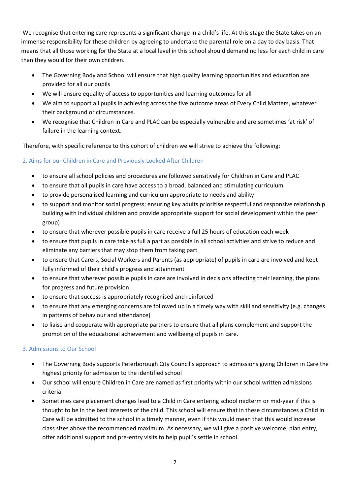We recognise that entering care represents a significant change in a child's life. At this stage the State takes on an immense responsibility for these children by agreeing to undertake the parental role on a day to day basis. That means that all those working for the State at a local level in this school should demand no less for each child in care than they would for their own children.

- The Governing Body and School will ensure that high quality learning opportunities and education are provided for all our pupils
- We will ensure equality of access to opportunities and learning outcomes for all
- We aim to support all pupils in achieving across the five outcome areas of Every Child Matters, whatever their background or circumstances.
- We recognise that Children in Care and PLAC can be especially vulnerable and are sometimes 'at risk' of failure in the learning context.

Therefore, with specific reference to this cohort of children we will strive to achieve the following:

## 2. Aims for our Children in Care and Previously Looked After Children

- to ensure all school policies and procedures are followed sensitively for Children in Care and PLAC
- to ensure that all pupils in care have access to a broad, balanced and stimulating curriculum
- to provide personalised learning and curriculum appropriate to needs and ability
- to support and monitor social progress; ensuring key adults prioritise respectful and responsive relationship building with individual children and provide appropriate support for social development within the peer group)
- to ensure that wherever possible pupils in care receive a full 25 hours of education each week
- to ensure that pupils in care take as full a part as possible in all school activities and strive to reduce and eliminate any barriers that may stop them from taking part
- to ensure that Carers, Social Workers and Parents (as appropriate) of pupils in care are involved and kept fully informed of their child's progress and attainment
- to ensure that wherever possible pupils in care are involved in decisions affecting their learning, the plans for progress and future provision
- to ensure that success is appropriately recognised and reinforced
- to ensure that any emerging concerns are followed up in a timely way with skill and sensitivity (e.g. changes in patterns of behaviour and attendance)
- to liaise and cooperate with appropriate partners to ensure that all plans complement and support the promotion of the educational achievement and wellbeing of pupils in care.

## 3. Admissions to Our School

- The Governing Body supports Peterborough City Council's approach to admissions giving Children in Care the highest priority for admission to the identified school
- Our school will ensure Children in Care are named as first priority within our school written admissions criteria
- Sometimes care placement changes lead to a Child in Care entering school midterm or mid-year if this is thought to be in the best interests of the child. This school will ensure that in these circumstances a Child in Care will be admitted to the school in a timely manner, even if this would mean that this would increase class sizes above the recommended maximum. As necessary, we will give a positive welcome, plan entry, offer additional support and pre-entry visits to help pupil's settle in school.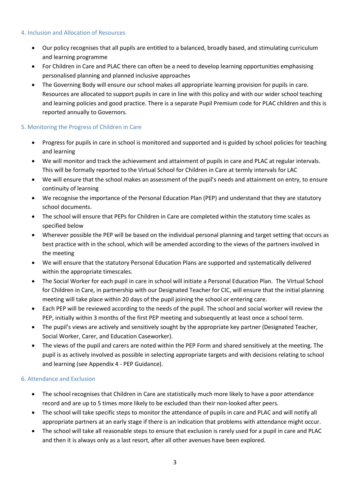#### 4. Inclusion and Allocation of Resources

- Our policy recognises that all pupils are entitled to a balanced, broadly based, and stimulating curriculum and learning programme
- For Children in Care and PLAC there can often be a need to develop learning opportunities emphasising personalised planning and planned inclusive approaches
- The Governing Body will ensure our school makes all appropriate learning provision for pupils in care. Resources are allocated to support pupils in care in line with this policy and with our wider school teaching and learning policies and good practice. There is a separate Pupil Premium code for PLAC children and this is reported annually to Governors.

## 5. Monitoring the Progress of Children in Care

- Progress for pupils in care in school is monitored and supported and is guided by school policies for teaching and learning
- We will monitor and track the achievement and attainment of pupils in care and PLAC at regular intervals. This will be formally reported to the Virtual School for Children in Care at termly intervals for LAC
- We will ensure that the school makes an assessment of the pupil's needs and attainment on entry, to ensure continuity of learning
- We recognise the importance of the Personal Education Plan (PEP) and understand that they are statutory school documents.
- The school will ensure that PEPs for Children in Care are completed within the statutory time scales as specified below
- Wherever possible the PEP will be based on the individual personal planning and target setting that occurs as best practice with in the school, which will be amended according to the views of the partners involved in the meeting
- We will ensure that the statutory Personal Education Plans are supported and systematically delivered within the appropriate timescales.
- The Social Worker for each pupil in care in school will initiate a Personal Education Plan. The Virtual School for Children in Care, in partnership with our Designated Teacher for CIC, will ensure that the initial planning meeting will take place within 20 days of the pupil joining the school or entering care.
- Each PEP will be reviewed according to the needs of the pupil. The school and social worker will review the PEP, initially within 3 months of the first PEP meeting and subsequently at least once a school term.
- The pupil's views are actively and sensitively sought by the appropriate key partner (Designated Teacher, Social Worker, Carer, and Education Caseworker).
- The views of the pupil and carers are noted within the PEP Form and shared sensitively at the meeting. The pupil is as actively involved as possible in selecting appropriate targets and with decisions relating to school and learning (see Appendix 4 - PEP Guidance).

## 6. Attendance and Exclusion

- The school recognises that Children in Care are statistically much more likely to have a poor attendance record and are up to 5 times more likely to be excluded than their non-looked after peers.
- The school will take specific steps to monitor the attendance of pupils in care and PLAC and will notify all appropriate partners at an early stage if there is an indication that problems with attendance might occur.
- The school will take all reasonable steps to ensure that exclusion is rarely used for a pupil in care and PLAC and then it is always only as a last resort, after all other avenues have been explored.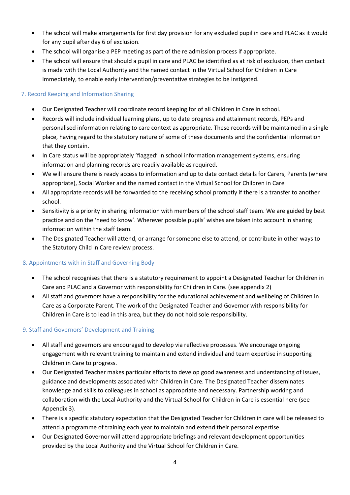- The school will make arrangements for first day provision for any excluded pupil in care and PLAC as it would for any pupil after day 6 of exclusion.
- The school will organise a PEP meeting as part of the re admission process if appropriate.
- The school will ensure that should a pupil in care and PLAC be identified as at risk of exclusion, then contact is made with the Local Authority and the named contact in the Virtual School for Children in Care immediately, to enable early intervention/preventative strategies to be instigated.

#### 7. Record Keeping and Information Sharing

- Our Designated Teacher will coordinate record keeping for of all Children in Care in school.
- Records will include individual learning plans, up to date progress and attainment records, PEPs and personalised information relating to care context as appropriate. These records will be maintained in a single place, having regard to the statutory nature of some of these documents and the confidential information that they contain.
- In Care status will be appropriately 'flagged' in school information management systems, ensuring information and planning records are readily available as required.
- We will ensure there is ready access to information and up to date contact details for Carers, Parents (where appropriate), Social Worker and the named contact in the Virtual School for Children in Care
- All appropriate records will be forwarded to the receiving school promptly if there is a transfer to another school.
- Sensitivity is a priority in sharing information with members of the school staff team. We are guided by best practice and on the 'need to know'. Wherever possible pupils' wishes are taken into account in sharing information within the staff team.
- The Designated Teacher will attend, or arrange for someone else to attend, or contribute in other ways to the Statutory Child in Care review process.

#### 8. Appointments with in Staff and Governing Body

- The school recognises that there is a statutory requirement to appoint a Designated Teacher for Children in Care and PLAC and a Governor with responsibility for Children in Care. (see appendix 2)
- All staff and governors have a responsibility for the educational achievement and wellbeing of Children in Care as a Corporate Parent. The work of the Designated Teacher and Governor with responsibility for Children in Care is to lead in this area, but they do not hold sole responsibility.

#### 9. Staff and Governors' Development and Training

- All staff and governors are encouraged to develop via reflective processes. We encourage ongoing engagement with relevant training to maintain and extend individual and team expertise in supporting Children in Care to progress.
- Our Designated Teacher makes particular efforts to develop good awareness and understanding of issues, guidance and developments associated with Children in Care. The Designated Teacher disseminates knowledge and skills to colleagues in school as appropriate and necessary. Partnership working and collaboration with the Local Authority and the Virtual School for Children in Care is essential here (see Appendix 3).
- There is a specific statutory expectation that the Designated Teacher for Children in care will be released to attend a programme of training each year to maintain and extend their personal expertise.
- Our Designated Governor will attend appropriate briefings and relevant development opportunities provided by the Local Authority and the Virtual School for Children in Care.